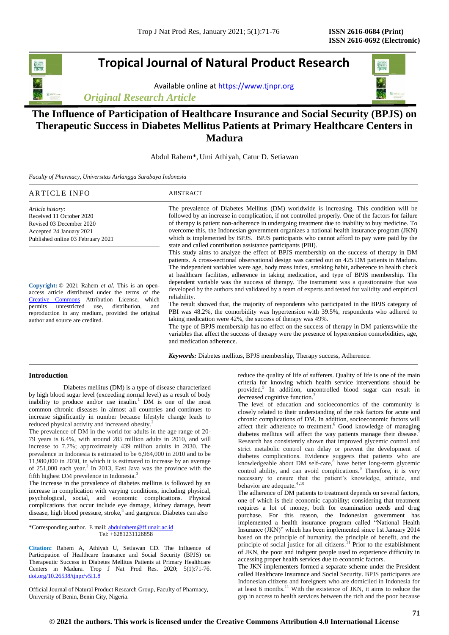# **Tropical Journal of Natural Product Research**

Available online a[t https://www.tjnpr.org](https://www.tjnpr.org/)





## **The Influence of Participation of Healthcare Insurance and Social Security (BPJS) on Therapeutic Success in Diabetes Mellitus Patients at Primary Healthcare Centers in Madura**

Abdul Rahem\*, Umi Athiyah, Catur D. Setiawan

*Faculty of Pharmacy, Universitas Airlangga Surabaya Indonesia*

| ARTICLE INFO                                                                                                                                                                                                                                                                                                     | <b>ABSTRACT</b>                                                                                                                                                                                                                                                                                                                                                                                                                                                                                                                                                                                                                                                                                                                                                                                                                                                                                                                                                                                                                                                                                          |  |
|------------------------------------------------------------------------------------------------------------------------------------------------------------------------------------------------------------------------------------------------------------------------------------------------------------------|----------------------------------------------------------------------------------------------------------------------------------------------------------------------------------------------------------------------------------------------------------------------------------------------------------------------------------------------------------------------------------------------------------------------------------------------------------------------------------------------------------------------------------------------------------------------------------------------------------------------------------------------------------------------------------------------------------------------------------------------------------------------------------------------------------------------------------------------------------------------------------------------------------------------------------------------------------------------------------------------------------------------------------------------------------------------------------------------------------|--|
| Article history:<br>Received 11 October 2020<br>Revised 03 December 2020<br>Accepted 24 January 2021<br>Published online 03 February 2021                                                                                                                                                                        | The prevalence of Diabetes Mellitus (DM) worldwide is increasing. This condition will be<br>followed by an increase in complication, if not controlled properly. One of the factors for failure<br>of therapy is patient non-adherence in undergoing treatment due to inability to buy medicine. To<br>overcome this, the Indonesian government organizes a national health insurance program (JKN)<br>which is implemented by BPJS. BPJS participants who cannot afford to pay were paid by the<br>state and called contribution assistance participants (PBI).                                                                                                                                                                                                                                                                                                                                                                                                                                                                                                                                         |  |
| Copyright: © 2021 Rahem <i>et al.</i> This is an open-<br>access article distributed under the terms of the<br>Attribution License, which<br>Creative Commons<br>unrestricted<br>distribution,<br>and<br>permits<br>use.<br>reproduction in any medium, provided the original<br>author and source are credited. | This study aims to analyze the effect of BPJS membership on the success of therapy in DM<br>patients. A cross-sectional observational design was carried out on 425 DM patients in Madura.<br>The independent variables were age, body mass index, smoking habit, adherence to health check<br>at healthcare facilities, adherence in taking medication, and type of BPJS membership. The<br>dependent variable was the success of therapy. The instrument was a questionnaire that was<br>developed by the authors and validated by a team of experts and tested for validity and empirical<br>reliability.<br>The result showed that, the majority of respondents who participated in the BPJS category of<br>PBI was 48.2%, the comorbidity was hypertension with 39.5%, respondents who adhered to<br>taking medication were 42%, the success of therapy was 49%.<br>The type of BPJS membership has no effect on the success of therapy in DM patients while the<br>variables that affect the success of therapy were the presence of hypertension comorbidities, age,<br>and medication adherence. |  |
|                                                                                                                                                                                                                                                                                                                  | <b>Keywords:</b> Diabetes mellitus, BPJS membership, Therapy success, Adherence.                                                                                                                                                                                                                                                                                                                                                                                                                                                                                                                                                                                                                                                                                                                                                                                                                                                                                                                                                                                                                         |  |

## **Introduction**

Diabetes mellitus (DM) is a type of disease characterized by high blood sugar level (exceeding normal level) as a result of body inability to produce and/or use insulin.<sup>1</sup> DM is one of the most common chronic diseases in almost all countries and continues to increase significantly in number because lifestyle change leads to reduced physical activity and increased obesity.<sup>2</sup>

The prevalence of DM in the world for adults in the age range of 20- 79 years is 6.4%, with around 285 million adults in 2010, and will increase to 7.7%; approximately 439 million adults in 2030. The prevalence in Indonesia is estimated to be 6,964,000 in 2010 and to be 11,980,000 in 2030, in which it is estimated to increase by an average of 251,000 each year.<sup>2</sup> In 2013, East Java was the province with the fifth highest DM prevelence in Indonesia.<sup>3</sup>

The increase in the prevalence of diabetes mellitus is followed by an increase in complication with varying conditions, including physical, psychological, social, and economic complications. Physical complications that occur include eye damage, kidney damage, heart disease, high blood pressure, stroke,<sup>4</sup> and gangrene. Diabetes can also

\*Corresponding author. E mail[: abdulrahem@ff.unair.ac.id](mailto:abdulrahem@ff.unair.ac.id) Tel: +6281231126858

**Citation:** Rahem A, Athiyah U, Setiawan CD. The Influence of Participation of Healthcare Insurance and Social Security (BPJS) on Therapeutic Success in Diabetes Mellitus Patients at Primary Healthcare Centers in Madura*.* Trop J Nat Prod Res. 2020; 5(1):71-76. [doi.org/10.26538/tjnpr/v5i1.8](http://www.doi.org/10.26538/tjnpr/v1i4.5)

Official Journal of Natural Product Research Group, Faculty of Pharmacy, University of Benin, Benin City, Nigeria.

reduce the quality of life of sufferers. Quality of life is one of the main criteria for knowing which health service interventions should be provided.<sup>5</sup> In addition, uncontrolled blood sugar can result in decreased cognitive function.<sup>3</sup>

The level of education and socioeconomics of the community is closely related to their understanding of the risk factors for acute and chronic complications of DM. In addition, socioeconomic factors will affect their adherence to treatment.<sup>6</sup> Good knowledge of managing diabetes mellitus will affect the way patients manage their disease. Research has consistently shown that improved glycemic control and strict metabolic control can delay or prevent the development of diabetes complications. Evidence suggests that patients who are knowledgeable about DM self-care, 8 have better long-term glycemic control ability, and can avoid complications.<sup>9</sup> Therefore, it is very necessary to ensure that the patient's knowledge, attitude, and behavior are adequate. $4,10$ 

The adherence of DM patients to treatment depends on several factors, one of which is their economic capability; considering that treatment requires a lot of money, both for examination needs and drug purchase. For this reason, the Indonesian government has implemented a health insurance program called "National Health Insurance (JKN)" which has been implemented since 1st January 2014 based on the principle of humanity, the principle of benefit, and the principle of social justice for all citizens. $11$  Prior to the establishment of JKN, the poor and indigent people used to experience difficulty in accessing proper health services due to economic factors.

The JKN implementers formed a separate scheme under the President called Healthcare Insurance and Social Security. BPJS participants are Indonesian citizens and foreigners who are domiciled in Indonesia for at least 6 months.<sup>11</sup> With the existence of JKN, it aims to reduce the gap in access to health services between the rich and the poor because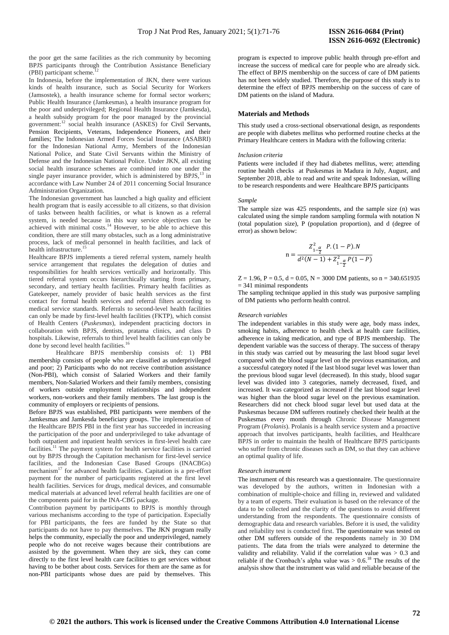the poor get the same facilities as the rich community by becoming BPJS participants through the Contribution Assistance Beneficiary  $(PBI)$  participant scheme.

In Indonesia, before the implementation of JKN, there were various kinds of health insurance, such as Social Security for Workers (Jamsostek), a health insurance scheme for formal sector workers; Public Health Insurance (Jamkesmas), a health insurance program for the poor and underprivileged; Regional Health Insurance (Jamkesda), a health subsidy program for the poor managed by the provincial government:<sup>12</sup> social health insurance (ASKES) for Civil Servants, Pension Recipients, Veterans, Independence Pioneers, and their families; The Indonesian Armed Forces Social Insurance (ASABRI) for the Indonesian National Army, Members of the Indonesian National Police, and State Civil Servants within the Ministry of Defense and the Indonesian National Police. Under JKN, all existing social health insurance schemes are combined into one under the single payer insurance provider, which is administered by  $BPIS$ ,  $^{13}$  in accordance with Law Number 24 of 2011 concerning Social Insurance Administration Organization.

The Indonesian government has launched a high quality and efficient health program that is easily accessible to all citizens, so that division of tasks between health facilities, or what is known as a referral system, is needed because in this way service objectives can be achieved with minimal costs. $14$  However, to be able to achieve this condition, there are still many obstacles, such as a long administrative process, lack of medical personnel in health facilities, and lack of health infrastructure.<sup>15</sup>

Healthcare BPJS implements a tiered referral system, namely health service arrangement that regulates the delegation of duties and responsibilities for health services vertically and horizontally. This tiered referral system occurs hierarchically starting from primary, secondary, and tertiary health facilities. Primary health facilities as Gatekeeper, namely provider of basic health services as the first contact for formal health services and referral filters according to medical service standards. Referrals to second-level health facilities can only be made by first-level health facilities (FKTP), which consist of Health Centers (*Puskesmas*), independent practicing doctors in collaboration with BPJS, dentists, pratama clinics, and class D hospitals. Likewise, referrals to third level health facilities can only be done by second level health facilities.<sup>16</sup>

Healthcare BPJS membership consists of: 1) PBI membership consists of people who are classified as underprivileged and poor; 2) Participants who do not receive contribution assistance (Non-PBI), which consist of Salaried Workers and their family members, Non-Salaried Workers and their family members, consisting of workers outside employment relationships and independent workers, non-workers and their family members. The last group is the community of employers or recipients of pensions.

Before BPJS was established, PBI participants were members of the Jamkesmas and Jamkesda beneficiary groups. The implementation of the Healthcare BPJS PBI in the first year has succeeded in increasing the participation of the poor and underprivileged to take advantage of both outpatient and inpatient health services in first-level health care facilities.<sup>11</sup> The payment system for health service facilities is carried out by BPJS through the Capitation mechanism for first-level service facilities, and the Indonesian Case Based Groups (INACBGs) mechanism<sup>17</sup> for advanced health facilities. Capitation is a pre-effort payment for the number of participants registered at the first level health facilities. Services for drugs, medical devices, and consumable medical materials at advanced level referral health facilities are one of the components paid for in the INA-CBG package.

Contribution payment by participants to BPJS is monthly through various mechanisms according to the type of participation. Especially for PBI participants, the fees are funded by the State so that participants do not have to pay themselves. The JKN program really helps the community, especially the poor and underprivileged, namely people who do not receive wages because their contributions are assisted by the government. When they are sick, they can come directly to the first level health care facilities to get services without having to be bother about costs. Services for them are the same as for non-PBI participants whose dues are paid by themselves. This

program is expected to improve public health through pre-effort and increase the success of medical care for people who are already sick. The effect of BPJS membership on the success of care of DM patients has not been widely studied. Therefore, the purpose of this study is to determine the effect of BPJS membership on the success of care of DM patients on the island of Madura.

#### **Materials and Methods**

This study used a cross-sectional observational design, as respondents are people with diabetes mellitus who performed routine checks at the Primary Healthcare centers in Madura with the following criteria:

## *Inclusion criteria*

Patients were included if they had diabetes mellitus, were; attending routine health checks at Puskesmas in Madura in July, August, and September 2018, able to read and write and speak Indonesian, willing to be research respondents and were Healthcare BPJS participants

## *Sample*

The sample size was 425 respondents, and the sample size (n) was calculated using the simple random sampling formula with notation N (total population size), P (population proportion), and d (degree of error) as shown below:

$$
n = \frac{Z_{1-\frac{\alpha}{2}}^{2} P.(1-P).N}{d^{2}(N-1) + Z_{1-\frac{\alpha}{2}}^{2} P(1-P)}
$$

 $Z = 1.96$ ,  $P = 0.5$ ,  $d = 0.05$ ,  $N = 3000$  DM patients, so n = 340.651935  $= 341$  minimal respondents

The sampling technique applied in this study was purposive sampling of DM patients who perform health control.

#### *Research variables*

The independent variables in this study were age, body mass index, smoking habits, adherence to health check at health care facilities, adherence in taking medication, and type of BPJS membership. The dependent variable was the success of therapy. The success of therapy in this study was carried out by measuring the last blood sugar level compared with the blood sugar level on the previous examination, and a successful category noted if the last blood sugar level was lower than the previous blood sugar level (decreased). In this study, blood sugar level was divided into 3 categories, namely decreased, fixed, and increased. It was categorized as increased if the last blood sugar level was higher than the blood sugar level on the previous examination. Researchers did not check blood sugar level but used data at the Puskesmas because DM sufferers routinely checked their health at the Puskesmas every month through Chronic Disease Management Program (*Prolanis*). Prolanis is a health service system and a proactive approach that involves participants, health facilities, and Healthcare BPJS in order to maintain the health of Healthcare BPJS participants who suffer from chronic diseases such as DM, so that they can achieve an optimal quality of life.

#### *Research instrument*

The instrument of this research was a questionnaire. The questionnaire was developed by the authors, written in Indonesian with a combination of multiple-choice and filling in, reviewed and validated by a team of experts. Their evaluation is based on the relevance of the data to be collected and the clarity of the questions to avoid different understanding from the respondents. The questionnaire consists of demographic data and research variables. Before it is used, the validity and reliability test is conducted first. The questionnaire was tested on other DM sufferers outside of the respondents namely in 30 DM patients. The data from the trials were analyzed to determine the validity and reliability. Valid if the correlation value was  $> 0.3$  and reliable if the Cronbach's alpha value was  $> 0.6$ .<sup>18</sup> The results of the analysis show that the instrument was valid and reliable because of the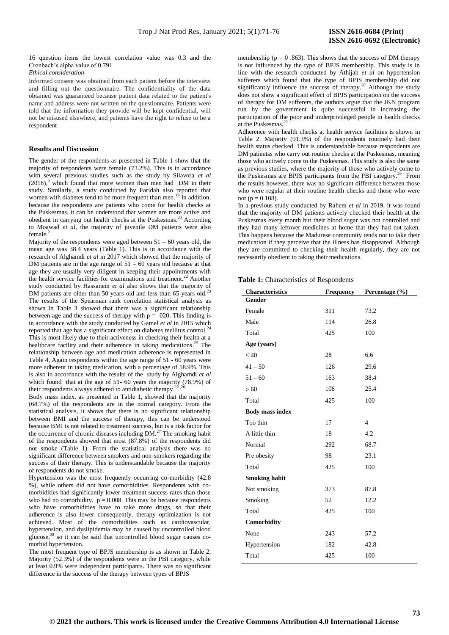16 question items the lowest correlation value was 0.3 and the Cronbach's alpha value of 0.791

## *Ethical consideration*

Informed consent was obtained from each patient before the interview and filling out the questionnaire. The confidentiality of the data obtained was guaranteed because patient data related to the patient's name and address were not written on the questionnaire. Patients were told that the information they provide will be kept confidential, will not be misused elsewhere, and patients have the right to refuse to be a respondent

## **Results and** D**iscussion**

The gender of the respondents as presented in Table 1 show that the majority of respondents were female (73.2%). This is in accordance with several previous studies such as the study by Silavora *et al*  $(2018)$ , which found that more women than men had DM in their study. Similarly, a study conducted by Faridah also reported that women with diabetes tend to be more frequent than men.<sup>19</sup> In addition, because the respondents are patients who come for health checks at the Puskesmas, it can be understood that women are more active and obedient in carrying out health checks at the Puskesmas.<sup>20</sup> According to Moawad *et al*, the majority of juvenile DM patients were also female. $^{2}$ 

Majority of the respondents were aged between  $51 - 60$  years old, the mean age was 38.4 years (Table 1). This is in accordance with the research of Alghamdi *et al* in 2017 which showed that the majority of DM patients are in the age range of  $51 - 60$  years old because at that age they are usually very diligent in keeping their appointments with the health service facilities for examinations and treatment.<sup>22</sup> Another study conducted by Hassanein *et al* also shows that the majority of DM patients are older than 50 years old and less than 65 years old.<sup>23</sup> The results of the Spearman rank correlation statistical analysis as shown in Table 3 showed that there was a significant relationship between age and the success of therapy with  $p = 020$ . This finding is in accordance with the study conducted by Gamel *et al* in 2015 which reported that age has a significant effect on diabetes mellitus control.<sup>2</sup> This is most likely due to their activeness in checking their health at a healthcare facility and their adherence in taking medications.<sup>25</sup> The relationship between age and medication adherence is represented in Table 4, Again respondents within the age range of 51 - 60 years were more adherent in taking medication, with a percentage of 58.9%. This is also in accordance with the results of the study by Alghamdi *et al* which found that at the age of 51- 60 years the majority (78.9%) of their respondents always adhered to antidiabetic therapy.<sup>2</sup>

Body mass index, as presented in Table 1, showed that the majority (68.7%) of the respondents are in the normal category. From the statistical analysis, it shows that there is no significant relationship between BMI and the success of therapy, this can be understood because BMI is not related to treatment success, but is a risk factor for the occurrence of chronic diseases including  $DM<sup>27</sup>$ . The smoking habit of the respondents showed that most (87.8%) of the respondents did not smoke (Table 1). From the statistical analysis there was no significant difference between smokers and non-smokers regarding the success of their therapy. This is understandable because the majority of respondents do not smoke.

Hypertension was the most frequently occurring co-morbidity (42.8 %), while others did not have comorbidities. Respondents with comorbidities had significantly lower treatment success rates than those who had no comorbidity.  $p = 0.008$ . This may be because respondents who have comorbidities have to take more drugs, so that their adherence is also lower consequently, therapy optimization is not achieved. Most of the comorbidities such as cardiovascular, hypertension, and dyslipidemia may be caused by uncontrolled blood glucose, $^{28}$  so it can be said that uncontrolled blood sugar causes comorbid hypertension.

The most frequent type of BPJS membership is as shown in Table 2. Majority  $(52.3\%)$  of the respondents were in the PBI category, while at least 0.9% were independent participants. There was no significant difference in the success of the therapy between types of BPJS

membership ( $p = 0.863$ ). This shows that the success of DM therapy is not influenced by the type of BPJS membership. This study is in line with the research conducted by Athijah *et al* on hypertension sufferers which found that the type of BPJS membership did not significantly influence the success of therapy.<sup>20</sup> Although the study does not show a significant effect of BPJS participation on the success of therapy for DM sufferers, the authors argue that the JKN program run by the government is quite successful in increasing the participation of the poor and underprivileged people in health checks at the Puskesmas.

Adherence with health checks at health service facilities is shown in Table 2. Majority (91.3%) of the respondents routinely had their health status checked. This is understandable because respondents are DM patientss who carry out routine checks at the Puskesmas, meaning those who actively come to the Puskesmas. This study is also the same as previous studies, where the majority of those who actively come to the Puskesmas are BPJS participants from the PBI category.<sup>29</sup> From the results however, there was no significant difference between those who were regular at their routine health checks and those who were not ( $p = 0.108$ ).

In a previous study conducted by Rahem *et al* in 2019, it was found that the majority of DM patients actively checked their health at the Puskesmas every month but their blood sugar was not controlled and they had many leftover medicines at home that they had not taken. This happens because the Madurese community tends not to take their medication if they perceive that the illness has disappeared. Although they are committed to checking their health regularly, they are not necessarily obedient to taking their medications.

## **Table 1:** Characteristics of Respondents

| Characteristics        | <b>Frequency</b> | Percentage (%) |
|------------------------|------------------|----------------|
| Gender                 |                  |                |
| Female                 | 311              | 73.2           |
| Male                   | 114              | 26.8           |
| Total                  | 425              | 100            |
| Age (years)            |                  |                |
| $\leq 40$              | 28               | 6.6            |
| $41 - 50$              | 126              | 29.6           |
| $51 - 60$              | 163              | 38.4           |
| >60                    | 108              | 25.4           |
| Total                  | 425              | 100            |
| <b>Body mass index</b> |                  |                |
| Too thin               | 17               | $\overline{4}$ |
| A little thin          | 18               | 4.2            |
| Normal                 | 292              | 68.7           |
| Pre obesity            | 98               | 23.1           |
| Total                  | 425              | 100            |
| <b>Smoking habit</b>   |                  |                |
| Not smoking            | 373              | 87.8           |
| Smoking                | 52               | 12.2           |
| Total                  | 425              | 100            |
| Comorbidity            |                  |                |
| None                   | 243              | 57.2           |
| Hypertension           | 182              | 42.8           |
| Total                  | 425              | 100            |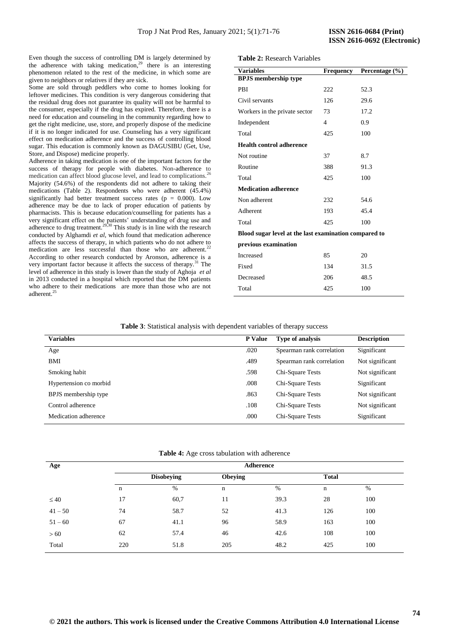Even though the success of controlling DM is largely determined by the adherence with taking medication, <sup>29</sup> there is an interesting phenomenon related to the rest of the medicine, in which some are given to neighbors or relatives if they are sick.

Some are sold through peddlers who come to homes looking for leftover medicines. This condition is very dangerous considering that the residual drug does not guarantee its quality will not be harmful to the consumer, especially if the drug has expired. Therefore, there is a need for education and counseling in the community regarding how to get the right medicine, use, store, and properly dispose of the medicine if it is no longer indicated for use. Counseling has a very significant effect on medication adherence and the success of controlling blood sugar. This education is commonly known as DAGUSIBU (Get, Use, Store, and Dispose) medicine properly.

Adherence in taking medication is one of the important factors for the success of therapy for people with diabetes. Non-adherence to medication can affect blood glucose level, and lead to complications.<sup>26</sup> Majority (54.6%) of the respondents did not adhere to taking their medications (Table 2). Respondents who were adherent (45.4%) significantly had better treatment success rates ( $p = 0.000$ ). Low adherence may be due to lack of proper education of patients by pharmacists. This is because education/counselling for patients has a very significant effect on the patients' understanding of drug use and adherence to drug treatment.<sup>29,30</sup> This study is in line with the research conducted by Alghamdi *et al*, which found that medication adherence affects the success of therapy, in which patients who do not adhere to medication are less successful than those who are adherent.<sup>2</sup> According to other research conducted by Aronson, adherence is a very important factor because it affects the success of therapy.<sup>31</sup> The level of adherence in this study is lower than the study of Aghoja *et al* in 2013 conducted in a hospital which reported that the DM patients who adhere to their medications are more than those who are not adherent.<sup>2</sup>

**Table 2:** Research Variables

| <b>Variables</b>                                      | <b>Frequency</b> | Percentage (%) |  |  |
|-------------------------------------------------------|------------------|----------------|--|--|
| <b>BPJS</b> membership type                           |                  |                |  |  |
| PBI                                                   | 222              | 52.3           |  |  |
| Civil servants                                        | 126              | 29.6           |  |  |
| Workers in the private sector                         | 73               | 17.2           |  |  |
| Independent                                           | 4                | 0.9            |  |  |
| Total                                                 | 425              | 100            |  |  |
| <b>Health control adherence</b>                       |                  |                |  |  |
| Not routine                                           | 37               | 8.7            |  |  |
| Routine                                               | 388              | 91.3           |  |  |
| Total                                                 | 425              | 100            |  |  |
| <b>Medication adherence</b>                           |                  |                |  |  |
| Non adherent                                          | 232              | 54.6           |  |  |
| Adherent                                              | 193              | 45.4           |  |  |
| Total                                                 | 425              | 100            |  |  |
| Blood sugar level at the last examination compared to |                  |                |  |  |
| previous examination                                  |                  |                |  |  |
| Increased                                             | 85               | 20             |  |  |
| Fixed                                                 | 134              | 31.5           |  |  |
| Decreased                                             | 206              | 48.5           |  |  |
| Total                                                 | 425              | 100            |  |  |

**Table 3**: Statistical analysis with dependent variables of therapy success

| <b>Variables</b>       | <b>Type of analysis</b><br><b>P</b> Value |                           | <b>Description</b> |
|------------------------|-------------------------------------------|---------------------------|--------------------|
| Age                    | .020                                      | Spearman rank correlation | Significant        |
| BMI                    | .489                                      | Spearman rank correlation | Not significant    |
| Smoking habit          | .598                                      | Chi-Square Tests          | Not significant    |
| Hypertension co morbid | .008                                      | Chi-Square Tests          | Significant        |
| BPJS membership type   | .863                                      | Chi-Square Tests          | Not significant    |
| Control adherence      | .108                                      | Chi-Square Tests          | Not significant    |
| Medication adherence   | .000                                      | Chi-Square Tests          | Significant        |

**Table 4:** Age cross tabulation with adherence

| Age       | Adherence         |      |                |      |              |     |
|-----------|-------------------|------|----------------|------|--------------|-----|
|           | <b>Disobeying</b> |      | <b>Obeying</b> |      | <b>Total</b> |     |
|           | n                 | %    | n              | %    | $\mathbf n$  | %   |
| $\leq 40$ | 17                | 60,7 | 11             | 39.3 | 28           | 100 |
| $41 - 50$ | 74                | 58.7 | 52             | 41.3 | 126          | 100 |
| $51 - 60$ | 67                | 41.1 | 96             | 58.9 | 163          | 100 |
| >60       | 62                | 57.4 | 46             | 42.6 | 108          | 100 |
| Total     | 220               | 51.8 | 205            | 48.2 | 425          | 100 |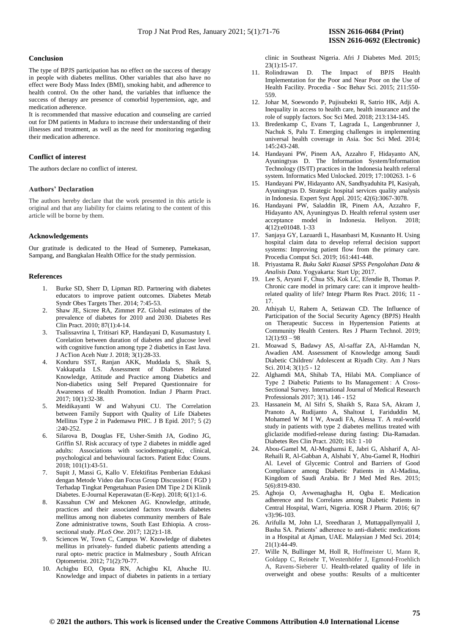## **Conclusion**

The type of BPJS participation has no effect on the success of therapy in people with diabetes mellitus. Other variables that also have no effect were Body Mass Index (BMI), smoking habit, and adherence to health control. On the other hand, the variables that influence the success of therapy are presence of comorbid hypertension, age, and medication adherence.

It is recommended that massive education and counseling are carried out for DM patients in Madura to increase their understanding of their illnesses and treatment, as well as the need for monitoring regarding their medication adherence.

## **Conflict of interest**

The authors declare no conflict of interest.

## **Authors' Declaration**

The authors hereby declare that the work presented in this article is original and that any liability for claims relating to the content of this article will be borne by them.

## **Acknowledgements**

Our gratitude is dedicated to the Head of Sumenep, Pamekasan, Sampang, and Bangkalan Health Office for the study permission.

### **References**

- 1. Burke SD, Sherr D, Lipman RD. Partnering with diabetes educators to improve patient outcomes. Diabetes Metab Syndr Obes Targets Ther. 2014; 7:45-53.
- 2. Shaw JE, Sicree RA, Zimmet PZ. Global estimates of the prevalence of diabetes for 2010 and 2030. Diabetes Res Clin Pract. 2010; 87(1):4-14.
- 3. Tsalissavrina I, Tritisari KP, Handayani D, Kusumastuty I. Corelation between duration of diabetes and glucose level with cognitive function among type 2 diabetics in East Java. J AcTion Aceh Nutr J. 2018; 3(1):28-33.
- 4. Konduru SST, Ranjan AKK, Muddada S, Shaik S, Vakkapatla LS. Assessment of Diabetes Related Knowledge, Attitude and Practice among Diabetics and Non-diabetics using Self Prepared Questionnaire for Awareness of Health Promotion. Indian J Pharm Pract. 2017; 10(1):32-38.
- 5. Meidikayanti W and Wahyuni CU. The Correlation between Family Support with Quality of Life Diabetes Mellitus Type 2 in Pademawu PHC. J B Epid. 2017; 5 (2) :240-252.
- 6. Silarova B, Douglas FE, Usher-Smith JA, Godino JG, Griffin SJ. Risk accuracy of type 2 diabetes in middle aged adults: Associations with sociodemographic, clinical, psychological and behavioural factors. Patient Educ Couns. 2018; 101(1):43-51.
- 7. Supit J, Massi G, Kallo V. Efektifitas Pemberian Edukasi dengan Metode Video dan Focus Group Discussion ( FGD ) Terhadap Tingkat Pengetahuan Pasien DM Tipe 2 Di Klinik Diabetes. E-Journal Keperawatan (E-Kep). 2018; 6(1):1-6.
- 8. Kassahun CW and Mekonen AG. Knowledge, attitude, practices and their associated factors towards diabetes mellitus among non diabetes community members of Bale Zone administrative towns, South East Ethiopia. A crosssectional study. *PLoS One*. 2017; 12(2):1-18.
- 9. Sciences W, Town C, Campus W. Knowledge of diabetes mellitus in privately- funded diabetic patients attending a rural opto- metric practice in Malmesbury , South African Optometrist. 2012; 71(2):70-77.
- 10. Achigbu EO, Oputa RN, Achigbu KI, Ahuche IU. Knowledge and impact of diabetes in patients in a tertiary

clinic in Southeast Nigeria. Afri J Diabetes Med*.* 2015; 23(1):15-17.

- 11. Rolindrawan D. The Impact of BPJS Health Implementation for the Poor and Near Poor on the Use of Health Facility. Procedia - Soc Behav Sci. 2015; 211:550- 559.
- 12. Johar M, Soewondo P, Pujisubekti R, Satrio HK, Adji A. Inequality in access to health care, health insurance and the role of supply factors. Soc Sci Med. 2018; 213:134-145.
- 13. Bredenkamp C, Evans T, Lagrada L, Langenbrunner J, Nachuk S, Palu T. Emerging challenges in implementing universal health coverage in Asia. Soc Sci Med. 2014; 145:243-248.
- 14. Handayani PW, Pinem AA, Azzahro F, Hidayanto AN, Ayuningtyas D. The Information System/Information Technology (IS/IT) practices in the Indonesia health referral system. Informatics Med Unlocked. 2019; 17:100263. 1- 6
- 15. Handayani PW, Hidayanto AN, Sandhyaduhita PI, Kasiyah, Ayuningtyas D. Strategic hospital services quality analysis in Indonesia. Expert Syst Appl. 2015; 42(6):3067-3078.
- 16. Handayani PW, Saladdin IR, Pinem AA, Azzahro F, Hidayanto AN, Ayuningtyas D. Health referral system user acceptance model in Indonesia. Heliyon. 2018; 4(12):e01048. 1-33
- 17. Sanjaya GY, Lazuardi L, Hasanbasri M, Kusnanto H. Using hospital claim data to develop referral decision support systems: Improving patient flow from the primary care. Procedia Comput Sci. 2019; 161:441-448.
- 18. Priyastama R. *Buku Sakti Kuasai SPSS Pengolahan Data & Analisis Data*. Yogyakarta: Start Up; 2017.
- 19. Lee S, Aryani F, Chua SS, Kok LC, Efendie B, Thomas P. Chronic care model in primary care: can it improve healthrelated quality of life? Integr Pharm Res Pract. 2016; 11 - 17.
- 20. Athiyah U, Rahem A, Setiawan CD. The Influence of Participation of the Social Security Agency (BPJS) Health on Therapeutic Success in Hypertension Patients at Community Health Centers. Res J Pharm Technol. 2019;  $12(1):93 - 98$
- 21. Moawad S, Badawy AS, Al-saffar ZA, Al-Hamdan N, Awadien AM. Assessment of Knowledge among Saudi Diabetic Children/ Adolescent at Riyadh City. Am J Nurs Sci. 2014; 3(1):5 - 12
- 22. Alghamdi MA, Shihab TA, Hilabi MA. Compliance of Type 2 Diabetic Patients to Its Management: A Cross-Sectional Survey. International Journal of Medical Research Professionals 2017; 3(1). 146 - 152
- 23. Hassanein M, Al Sifri S, Shaikh S, Raza SA, Akram J, Pranoto A, Rudijanto A, Shaltout I, Fariduddin M, Mohamed W M I W, Awadi FA, Alessa T. A real-world study in patients with type 2 diabetes mellitus treated with gliclazide modified-release during fasting: Dia-Ramadan. Diabetes Res Clin Pract. 2020; 163: 1 -10
- 24. Abou-Gamel M, Al-Moghamsi E, Jabri G, Alsharif A, Al-Rehaili R, Al-Gabban A, Alshabi Y, Abu-Gamel R, Hodhiri Al. Level of Glycemic Control and Barriers of Good Compliance among Diabetic Patients in Al-Madina, Kingdom of Saudi Arabia. Br J Med Med Res. 2015; 5(6):819-830.
- 25. Aghoja O, Avwenaghagha H, Ogba E. Medication adherence and Its Correlates among Diabetic Patients in Central Hospital, Warri, Nigeria. IOSR J Pharm. 2016; 6(7 v3):96-103.
- 26. Arifulla M, John LJ, Sreedharan J, Muttappallymyalil J, Basha SA. Patients' adherence to anti-diabetic medications in a Hospital at Ajman, UAE. Malaysian J Med Sci. 2014; 21(1):44-49.
- 27. Wille N, Bullinger M, Holl R, Hoffmeister U, Mann R, Goldapp C, Reinehr T, Westenhöfer J, Egmond-Froehlich A, Ravens-Sieberer U. Health-related quality of life in overweight and obese youths: Results of a multicenter